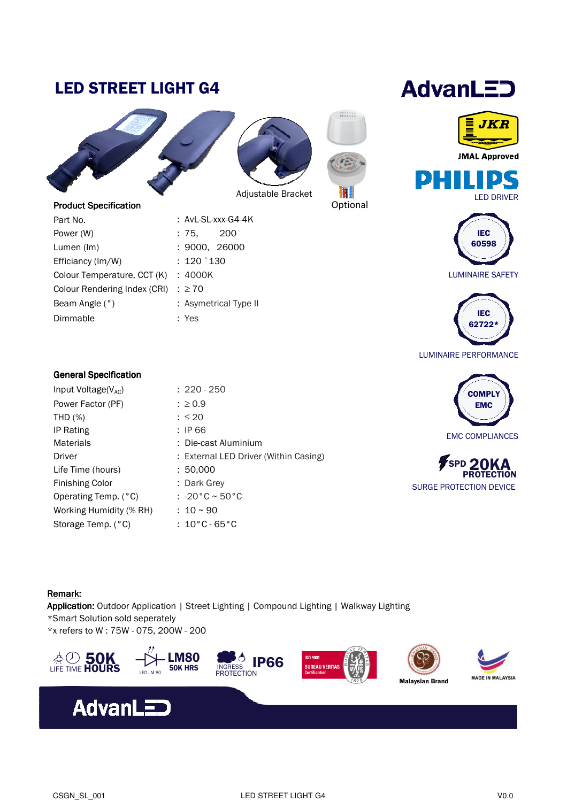### LED STREET LIGHT G4





- Efficiancy  $\frac{Im}{W}$  : 120  $\degree$  130 Colour Temperature, CCT (K) : 4000K Colour Rendering Index (CRI) :  $\geq 70$ Beam Angle (°) : Asymetrical Type II Dimmable : Yes
- Adjustable Bracket
	-
	-





# **AdvanLED**











#### LUMINAIRE PERFORMANCE

#### **General Specification**

| Input Voltage( $V_{AC}$ ) | $: 220 - 250$                         |
|---------------------------|---------------------------------------|
| Power Factor (PF)         | $: \ge 0.9$                           |
| THD $(\%)$                | $: \leq 20$                           |
| IP Rating                 | $:$ IP 66                             |
| <b>Materials</b>          | : Die-cast Aluminium                  |
| Driver                    | : External LED Driver (Within Casing) |
| Life Time (hours)         | :50.000                               |
| <b>Finishing Color</b>    | : Dark Grev                           |
| Operating Temp. (°C)      | : $-20^{\circ}$ C ~ 50 $^{\circ}$ C   |
| Working Humidity (% RH)   | $: 10 \sim 90$                        |
| Storage Temp. (°C)        | $:10^{\circ}$ C - 65 $^{\circ}$ C     |
|                           |                                       |



SPD

**20KA**<br>PROTECTION SURGE PROTECTION DEVICE

#### Remark:

Application: Outdoor Application | Street Lighting | Compound Lighting | Walkway Lighting \*Smart Solution sold seperately \*x refers to W : 75W - 075, 200W - 200